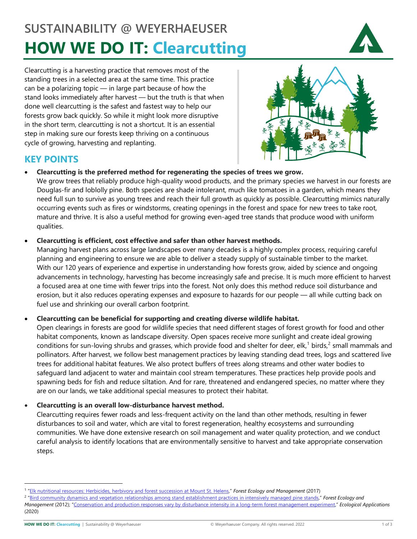# **SUSTAINABILITY @ WEYERHAEUSER HOW WE DO IT: Clearcutting**



Clearcutting is a harvesting practice that removes most of the standing trees in a selected area at the same time. This practice can be a polarizing topic — in large part because of how the stand looks immediately after harvest — but the truth is that when done well clearcutting is the safest and fastest way to help our forests grow back quickly. So while it might look more disruptive in the short term, clearcutting is not a shortcut. It is an essential step in making sure our forests keep thriving on a continuous cycle of growing, harvesting and replanting.



# **KEY POINTS**

## • **Clearcutting is the preferred method for regenerating the species of trees we grow.**

We grow trees that reliably produce high-quality wood products, and the primary species we harvest in our forests are Douglas-fir and loblolly pine. Both species are shade intolerant, much like tomatoes in a garden, which means they need full sun to survive as young trees and reach their full growth as quickly as possible. Clearcutting mimics naturally occurring events such as fires or windstorms, creating openings in the forest and space for new trees to take root, mature and thrive. It is also a useful method for growing even-aged tree stands that produce wood with uniform qualities.

## • **Clearcutting is efficient, cost effective and safer than other harvest methods.**

Managing harvest plans across large landscapes over many decades is a highly complex process, requiring careful planning and engineering to ensure we are able to deliver a steady supply of sustainable timber to the market. With our 120 years of experience and expertise in understanding how forests grow, aided by science and ongoing advancements in technology, harvesting has become increasingly safe and precise. It is much more efficient to harvest a focused area at one time with fewer trips into the forest. Not only does this method reduce soil disturbance and erosion, but it also reduces operating expenses and exposure to hazards for our people — all while cutting back on fuel use and shrinking our overall carbon footprint.

## • **Clearcutting can be beneficial for supporting and creating diverse wildlife habitat.**

Open clearings in forests are good for wildlife species that need different stages of forest growth for food and other habitat components, known as landscape diversity. Open spaces receive more sunlight and create ideal growing conditions for sun-loving shrubs and grasses, which provide food and shelter for deer, elk,<sup>[1](#page-0-0)</sup> birds,<sup>[2](#page-0-1)</sup> small mammals and pollinators. After harvest, we follow best management practices by leaving standing dead trees, logs and scattered live trees for additional habitat features. We also protect buffers of trees along streams and other water bodies to safeguard land adjacent to water and maintain cool stream temperatures. These practices help provide pools and spawning beds for fish and reduce siltation. And for rare, threatened and endangered species, no matter where they are on our lands, we take additional special measures to protect their habitat.

## • **Clearcutting is an overall low-disturbance harvest method.**

Clearcutting requires fewer roads and less-frequent activity on the land than other methods, resulting in fewer disturbances to soil and water, which are vital to forest regeneration, healthy ecosystems and surrounding communities. We have done extensive research on soil management and water quality protection, and we conduct careful analysis to identify locations that are environmentally sensitive to harvest and take appropriate conservation steps.

<span id="page-0-1"></span><sup>2</sup> ["Bird community dynamics and vegetation relationships among stand establishment practices in intensively managed pine stands,"](https://www.sciencedirect.com/science/article/abs/pii/S0378112712004045) *Forest Ecology and* 

<span id="page-0-0"></span><sup>1</sup> ["Elk nutritional resources: Herbicides, herbivory and forest succession at Mount St. Helens,"](https://www.sciencedirect.com/science/article/abs/pii/S0378112717301974) *Forest Ecology and Management* (2017)

*Management* (2012); ["Conservation and production responses vary by disturbance intensity in a long-term forest management experiment,"](https://esajournals.onlinelibrary.wiley.com/doi/abs/10.1002/eap.2148) *Ecological Applications* (2020)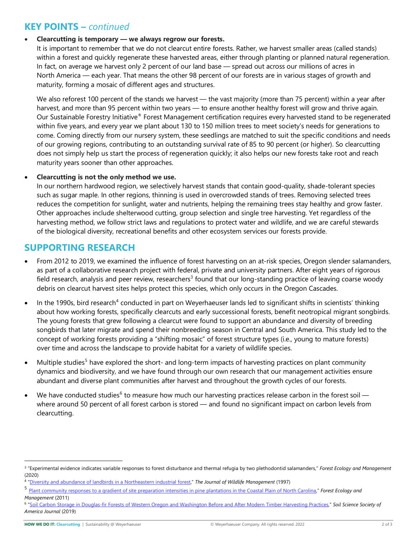# **KEY POINTS –** *continued*

#### • **Clearcutting is temporary — we always regrow our forests.**

It is important to remember that we do not clearcut entire forests. Rather, we harvest smaller areas (called stands) within a forest and quickly regenerate these harvested areas, either through planting or planned natural regeneration. In fact, on average we harvest only 2 percent of our land base — spread out across our millions of acres in North America — each year. That means the other 98 percent of our forests are in various stages of growth and maturity, forming a mosaic of different ages and structures.

We also reforest 100 percent of the stands we harvest — the vast majority (more than 75 percent) within a year after harvest, and more than 95 percent within two years — to ensure another healthy forest will grow and thrive again. Our Sustainable Forestry Initiative® Forest Management certification requires every harvested stand to be regenerated within five years, and every year we plant about 130 to 150 million trees to meet society's needs for generations to come. Coming directly from our nursery system, these seedlings are matched to suit the specific conditions and needs of our growing regions, contributing to an outstanding survival rate of 85 to 90 percent (or higher). So clearcutting does not simply help us start the process of regeneration quickly; it also helps our new forests take root and reach maturity years sooner than other approaches.

## • **Clearcutting is not the only method we use.**

In our northern hardwood region, we selectively harvest stands that contain good-quality, shade-tolerant species such as sugar maple. In other regions, thinning is used in overcrowded stands of trees. Removing selected trees reduces the competition for sunlight, water and nutrients, helping the remaining trees stay healthy and grow faster. Other approaches include shelterwood cutting, group selection and single tree harvesting. Yet regardless of the harvesting method, we follow strict laws and regulations to protect water and wildlife, and we are careful stewards of the biological diversity, recreational benefits and other ecosystem services our forests provide.

## **SUPPORTING RESEARCH**

- From 2012 to 2019, we examined the influence of forest harvesting on an at-risk species, Oregon slender salamanders, as part of a collaborative research project with federal, private and university partners. After eight years of rigorous field research, analysis and peer review, researchers<sup>[3](#page-1-0)</sup> found that our long-standing practice of leaving coarse woody debris on clearcut harvest sites helps protect this species, which only occurs in the Oregon Cascades.
- In the 1990s, bird research<sup>[4](#page-1-1)</sup> conducted in part on Weyerhaeuser lands led to significant shifts in scientists' thinking about how working forests, specifically clearcuts and early successional forests, benefit neotropical migrant songbirds. The young forests that grew following a clearcut were found to support an abundance and diversity of breeding songbirds that later migrate and spend their nonbreeding season in Central and South America. This study led to the concept of working forests providing a "shifting mosaic" of forest structure types (i.e., young to mature forests) over time and across the landscape to provide habitat for a variety of wildlife species.
- Multiple studies<sup>[5](#page-1-2)</sup> have explored the short- and long-term impacts of harvesting practices on plant community dynamics and biodiversity, and we have found through our own research that our management activities ensure abundant and diverse plant communities after harvest and throughout the growth cycles of our forests.
- We have conducted studies<sup>[6](#page-1-3)</sup> to measure how much our harvesting practices release carbon in the forest soil  $$ where around 50 percent of all forest carbon is stored — and found no significant impact on carbon levels from clearcutting.

<span id="page-1-0"></span><sup>3</sup> "Experimental evidence indicates variable responses to forest disturbance and thermal refugia by two plethodontid salamanders," *Forest Ecology and Management* (2020)

<span id="page-1-1"></span><sup>4</sup> ["Diversity and abundance of landbirds in](https://www.jstor.org/stable/3802179) a Northeastern industrial forest," *The Journal of Wildlife Management* (1997)

<span id="page-1-2"></span><sup>5</sup> [Plant community responses to a gradient of site preparation intensities in pine plantations in the Coastal Plain of North Carolina,](https://www.sciencedirect.com/science/article/abs/pii/S0378112711002167)" *Forest Ecology and Management* (2011)

<span id="page-1-3"></span><sup>6</sup> ["Soil Carbon Storage in Douglas-fir Forests of Western Oregon and Washington Before and After Modern Timber Harvesting Practices,"](https://acsess.onlinelibrary.wiley.com/doi/abs/10.2136/sssaj2018.09.0354) *Soil Science Society of America Journal* (2019)